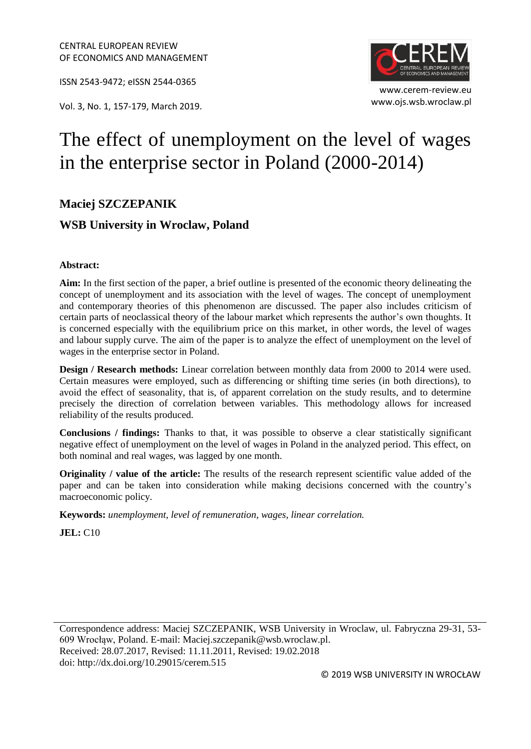ISSN 2543-9472; eISSN 2544-0365

www.ojs.wsb.wroclaw.pl Vol. 3, No. 1, 157-179, March 2019.



# The effect of unemployment on the level of wages in the enterprise sector in Poland (2000-2014)

# **Maciej SZCZEPANIK**

#### **WSB University in Wroclaw, Poland**

#### **Abstract:**

**Aim:** In the first section of the paper, a brief outline is presented of the economic theory delineating the concept of unemployment and its association with the level of wages. The concept of unemployment and contemporary theories of this phenomenon are discussed. The paper also includes criticism of certain parts of neoclassical theory of the labour market which represents the author's own thoughts. It is concerned especially with the equilibrium price on this market, in other words, the level of wages and labour supply curve. The aim of the paper is to analyze the effect of unemployment on the level of wages in the enterprise sector in Poland.

**Design / Research methods:** Linear correlation between monthly data from 2000 to 2014 were used. Certain measures were employed, such as differencing or shifting time series (in both directions), to avoid the effect of seasonality, that is, of apparent correlation on the study results, and to determine precisely the direction of correlation between variables. This methodology allows for increased reliability of the results produced.

**Conclusions / findings:** Thanks to that, it was possible to observe a clear statistically significant negative effect of unemployment on the level of wages in Poland in the analyzed period. This effect, on both nominal and real wages, was lagged by one month.

**Originality / value of the article:** The results of the research represent scientific value added of the paper and can be taken into consideration while making decisions concerned with the country's macroeconomic policy.

**Keywords:** *unemployment, level of remuneration, wages, linear correlation.*

**JEL:** C10

Correspondence address: Maciej SZCZEPANIK, WSB University in Wroclaw, ul. Fabryczna 29-31, 53- 609 Wrocłąw, Poland. E-mail: Maciej.szczepanik@wsb.wroclaw.pl. Received: 28.07.2017, Revised: 11.11.2011, Revised: 19.02.2018 doi: http://dx.doi.org/10.29015/cerem.515

© 2019 WSB UNIVERSITY IN WROCŁAW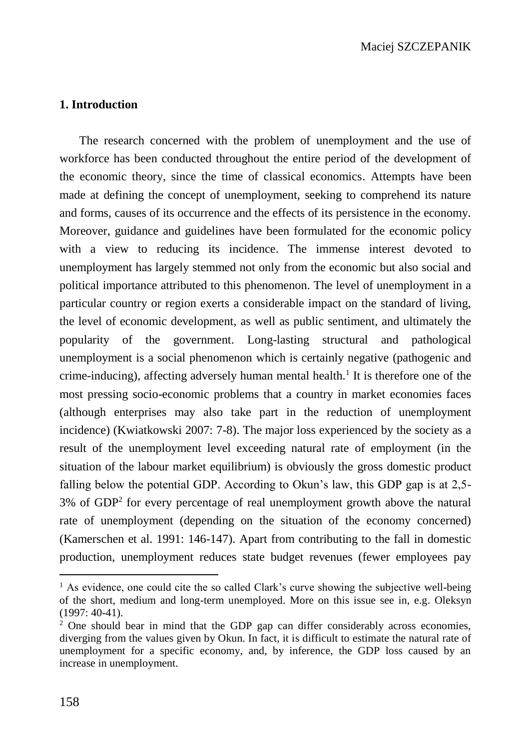## **1. Introduction**

The research concerned with the problem of unemployment and the use of workforce has been conducted throughout the entire period of the development of the economic theory, since the time of classical economics. Attempts have been made at defining the concept of unemployment, seeking to comprehend its nature and forms, causes of its occurrence and the effects of its persistence in the economy. Moreover, guidance and guidelines have been formulated for the economic policy with a view to reducing its incidence. The immense interest devoted to unemployment has largely stemmed not only from the economic but also social and political importance attributed to this phenomenon. The level of unemployment in a particular country or region exerts a considerable impact on the standard of living, the level of economic development, as well as public sentiment, and ultimately the popularity of the government. Long-lasting structural and pathological unemployment is a social phenomenon which is certainly negative (pathogenic and crime-inducing), affecting adversely human mental health.<sup>1</sup> It is therefore one of the most pressing socio-economic problems that a country in market economies faces (although enterprises may also take part in the reduction of unemployment incidence) (Kwiatkowski 2007: 7-8). The major loss experienced by the society as a result of the unemployment level exceeding natural rate of employment (in the situation of the labour market equilibrium) is obviously the gross domestic product falling below the potential GDP. According to Okun's law, this GDP gap is at 2,5- 3% of GDP<sup>2</sup> for every percentage of real unemployment growth above the natural rate of unemployment (depending on the situation of the economy concerned) (Kamerschen et al. 1991: 146-147). Apart from contributing to the fall in domestic production, unemployment reduces state budget revenues (fewer employees pay

<sup>&</sup>lt;sup>1</sup> As evidence, one could cite the so called Clark's curve showing the subjective well-being of the short, medium and long-term unemployed. More on this issue see in, e.g. Oleksyn (1997: 40-41).

<sup>2</sup> One should bear in mind that the GDP gap can differ considerably across economies, diverging from the values given by Okun. In fact, it is difficult to estimate the natural rate of unemployment for a specific economy, and, by inference, the GDP loss caused by an increase in unemployment.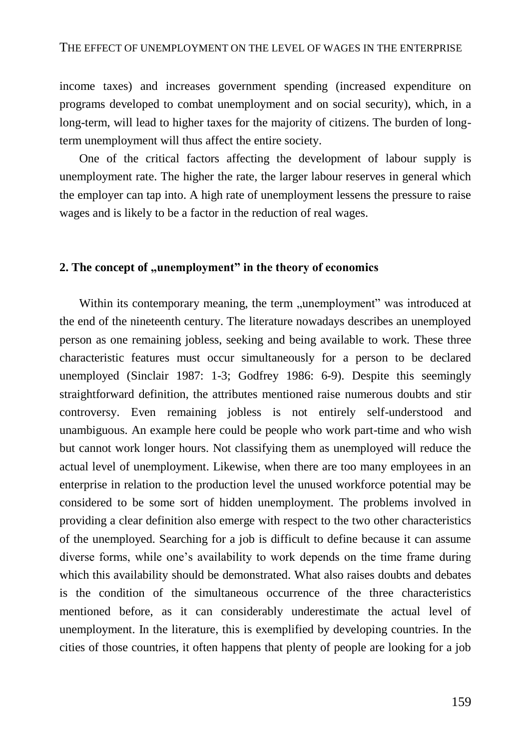income taxes) and increases government spending (increased expenditure on programs developed to combat unemployment and on social security), which, in a long-term, will lead to higher taxes for the majority of citizens. The burden of longterm unemployment will thus affect the entire society.

One of the critical factors affecting the development of labour supply is unemployment rate. The higher the rate, the larger labour reserves in general which the employer can tap into. A high rate of unemployment lessens the pressure to raise wages and is likely to be a factor in the reduction of real wages.

#### 2. The concept of "unemployment" in the theory of economics

Within its contemporary meaning, the term "unemployment" was introduced at the end of the nineteenth century. The literature nowadays describes an unemployed person as one remaining jobless, seeking and being available to work. These three characteristic features must occur simultaneously for a person to be declared unemployed (Sinclair 1987: 1-3; Godfrey 1986: 6-9). Despite this seemingly straightforward definition, the attributes mentioned raise numerous doubts and stir controversy. Even remaining jobless is not entirely self-understood and unambiguous. An example here could be people who work part-time and who wish but cannot work longer hours. Not classifying them as unemployed will reduce the actual level of unemployment. Likewise, when there are too many employees in an enterprise in relation to the production level the unused workforce potential may be considered to be some sort of hidden unemployment. The problems involved in providing a clear definition also emerge with respect to the two other characteristics of the unemployed. Searching for a job is difficult to define because it can assume diverse forms, while one's availability to work depends on the time frame during which this availability should be demonstrated. What also raises doubts and debates is the condition of the simultaneous occurrence of the three characteristics mentioned before, as it can considerably underestimate the actual level of unemployment. In the literature, this is exemplified by developing countries. In the cities of those countries, it often happens that plenty of people are looking for a job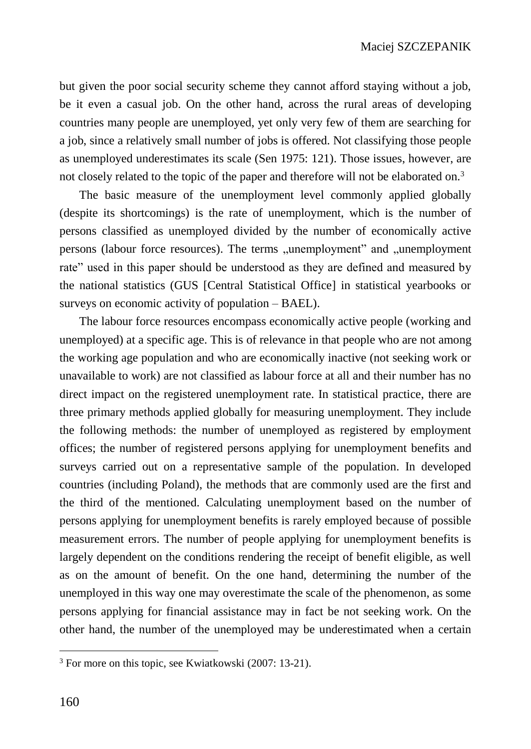but given the poor social security scheme they cannot afford staying without a job, be it even a casual job. On the other hand, across the rural areas of developing countries many people are unemployed, yet only very few of them are searching for a job, since a relatively small number of jobs is offered. Not classifying those people as unemployed underestimates its scale (Sen 1975: 121). Those issues, however, are not closely related to the topic of the paper and therefore will not be elaborated on.<sup>3</sup>

The basic measure of the unemployment level commonly applied globally (despite its shortcomings) is the rate of unemployment, which is the number of persons classified as unemployed divided by the number of economically active persons (labour force resources). The terms "unemployment" and "unemployment rate" used in this paper should be understood as they are defined and measured by the national statistics (GUS [Central Statistical Office] in statistical yearbooks or surveys on economic activity of population – BAEL).

The labour force resources encompass economically active people (working and unemployed) at a specific age. This is of relevance in that people who are not among the working age population and who are economically inactive (not seeking work or unavailable to work) are not classified as labour force at all and their number has no direct impact on the registered unemployment rate. In statistical practice, there are three primary methods applied globally for measuring unemployment. They include the following methods: the number of unemployed as registered by employment offices; the number of registered persons applying for unemployment benefits and surveys carried out on a representative sample of the population. In developed countries (including Poland), the methods that are commonly used are the first and the third of the mentioned. Calculating unemployment based on the number of persons applying for unemployment benefits is rarely employed because of possible measurement errors. The number of people applying for unemployment benefits is largely dependent on the conditions rendering the receipt of benefit eligible, as well as on the amount of benefit. On the one hand, determining the number of the unemployed in this way one may overestimate the scale of the phenomenon, as some persons applying for financial assistance may in fact be not seeking work. On the other hand, the number of the unemployed may be underestimated when a certain

<sup>3</sup> For more on this topic, see Kwiatkowski (2007: 13-21).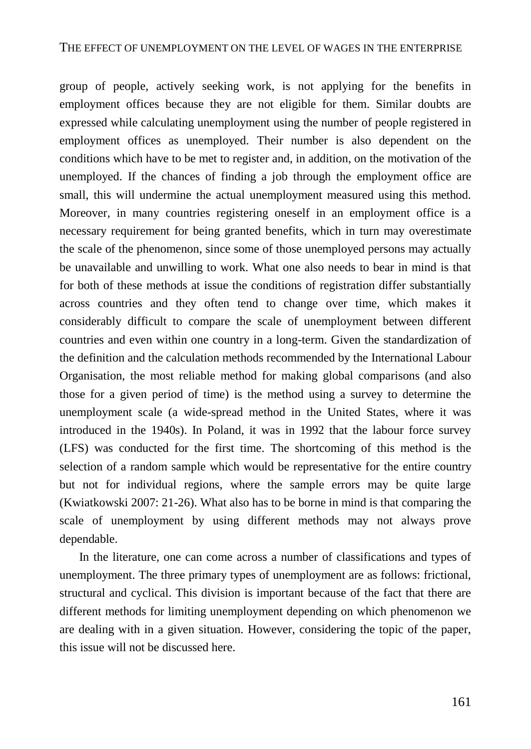group of people, actively seeking work, is not applying for the benefits in employment offices because they are not eligible for them. Similar doubts are expressed while calculating unemployment using the number of people registered in employment offices as unemployed. Their number is also dependent on the conditions which have to be met to register and, in addition, on the motivation of the unemployed. If the chances of finding a job through the employment office are small, this will undermine the actual unemployment measured using this method. Moreover, in many countries registering oneself in an employment office is a necessary requirement for being granted benefits, which in turn may overestimate the scale of the phenomenon, since some of those unemployed persons may actually be unavailable and unwilling to work. What one also needs to bear in mind is that for both of these methods at issue the conditions of registration differ substantially across countries and they often tend to change over time, which makes it considerably difficult to compare the scale of unemployment between different countries and even within one country in a long-term. Given the standardization of the definition and the calculation methods recommended by the International Labour Organisation, the most reliable method for making global comparisons (and also those for a given period of time) is the method using a survey to determine the unemployment scale (a wide-spread method in the United States, where it was introduced in the 1940s). In Poland, it was in 1992 that the labour force survey (LFS) was conducted for the first time. The shortcoming of this method is the selection of a random sample which would be representative for the entire country but not for individual regions, where the sample errors may be quite large (Kwiatkowski 2007: 21-26). What also has to be borne in mind is that comparing the scale of unemployment by using different methods may not always prove dependable.

In the literature, one can come across a number of classifications and types of unemployment. The three primary types of unemployment are as follows: frictional, structural and cyclical. This division is important because of the fact that there are different methods for limiting unemployment depending on which phenomenon we are dealing with in a given situation. However, considering the topic of the paper, this issue will not be discussed here.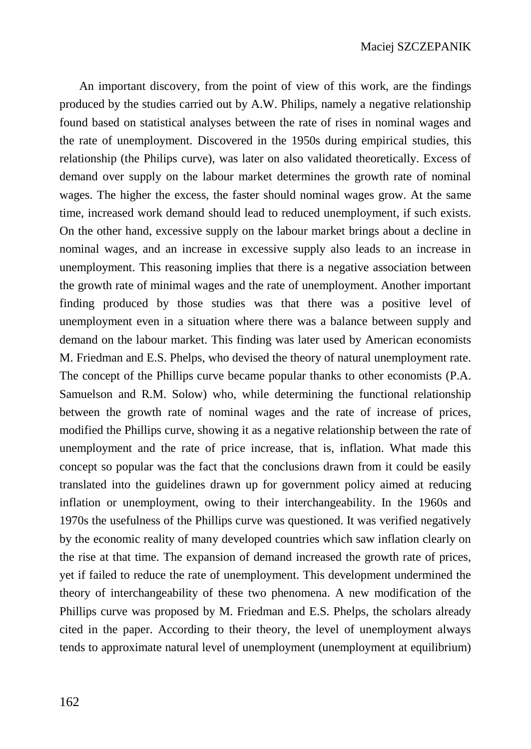An important discovery, from the point of view of this work, are the findings produced by the studies carried out by A.W. Philips, namely a negative relationship found based on statistical analyses between the rate of rises in nominal wages and the rate of unemployment. Discovered in the 1950s during empirical studies, this relationship (the Philips curve), was later on also validated theoretically. Excess of demand over supply on the labour market determines the growth rate of nominal wages. The higher the excess, the faster should nominal wages grow. At the same time, increased work demand should lead to reduced unemployment, if such exists. On the other hand, excessive supply on the labour market brings about a decline in nominal wages, and an increase in excessive supply also leads to an increase in unemployment. This reasoning implies that there is a negative association between the growth rate of minimal wages and the rate of unemployment. Another important finding produced by those studies was that there was a positive level of unemployment even in a situation where there was a balance between supply and demand on the labour market. This finding was later used by American economists M. Friedman and E.S. Phelps, who devised the theory of natural unemployment rate. The concept of the Phillips curve became popular thanks to other economists (P.A. Samuelson and R.M. Solow) who, while determining the functional relationship between the growth rate of nominal wages and the rate of increase of prices, modified the Phillips curve, showing it as a negative relationship between the rate of unemployment and the rate of price increase, that is, inflation. What made this concept so popular was the fact that the conclusions drawn from it could be easily translated into the guidelines drawn up for government policy aimed at reducing inflation or unemployment, owing to their interchangeability. In the 1960s and 1970s the usefulness of the Phillips curve was questioned. It was verified negatively by the economic reality of many developed countries which saw inflation clearly on the rise at that time. The expansion of demand increased the growth rate of prices, yet if failed to reduce the rate of unemployment. This development undermined the theory of interchangeability of these two phenomena. A new modification of the Phillips curve was proposed by M. Friedman and E.S. Phelps, the scholars already cited in the paper. According to their theory, the level of unemployment always tends to approximate natural level of unemployment (unemployment at equilibrium)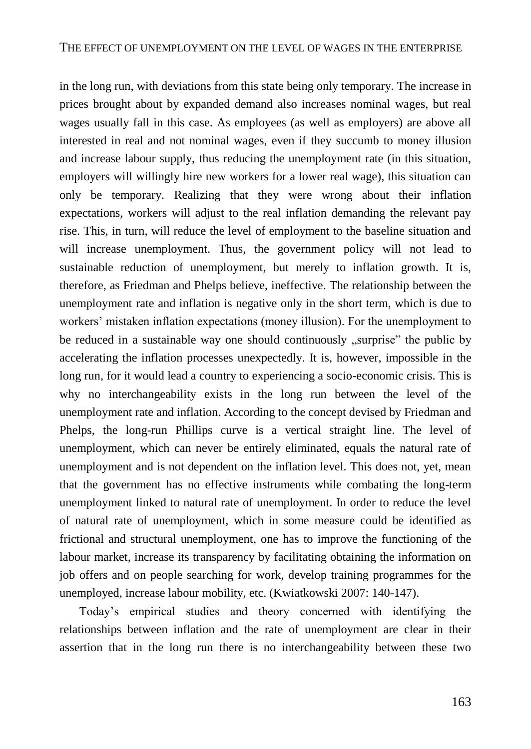in the long run, with deviations from this state being only temporary. The increase in prices brought about by expanded demand also increases nominal wages, but real wages usually fall in this case. As employees (as well as employers) are above all interested in real and not nominal wages, even if they succumb to money illusion and increase labour supply, thus reducing the unemployment rate (in this situation, employers will willingly hire new workers for a lower real wage), this situation can only be temporary. Realizing that they were wrong about their inflation expectations, workers will adjust to the real inflation demanding the relevant pay rise. This, in turn, will reduce the level of employment to the baseline situation and will increase unemployment. Thus, the government policy will not lead to sustainable reduction of unemployment, but merely to inflation growth. It is, therefore, as Friedman and Phelps believe, ineffective. The relationship between the unemployment rate and inflation is negative only in the short term, which is due to workers' mistaken inflation expectations (money illusion). For the unemployment to be reduced in a sustainable way one should continuously "surprise" the public by accelerating the inflation processes unexpectedly. It is, however, impossible in the long run, for it would lead a country to experiencing a socio-economic crisis. This is why no interchangeability exists in the long run between the level of the unemployment rate and inflation. According to the concept devised by Friedman and Phelps, the long-run Phillips curve is a vertical straight line. The level of unemployment, which can never be entirely eliminated, equals the natural rate of unemployment and is not dependent on the inflation level. This does not, yet, mean that the government has no effective instruments while combating the long-term unemployment linked to natural rate of unemployment. In order to reduce the level of natural rate of unemployment, which in some measure could be identified as frictional and structural unemployment, one has to improve the functioning of the labour market, increase its transparency by facilitating obtaining the information on job offers and on people searching for work, develop training programmes for the unemployed, increase labour mobility, etc. (Kwiatkowski 2007: 140-147).

Today's empirical studies and theory concerned with identifying the relationships between inflation and the rate of unemployment are clear in their assertion that in the long run there is no interchangeability between these two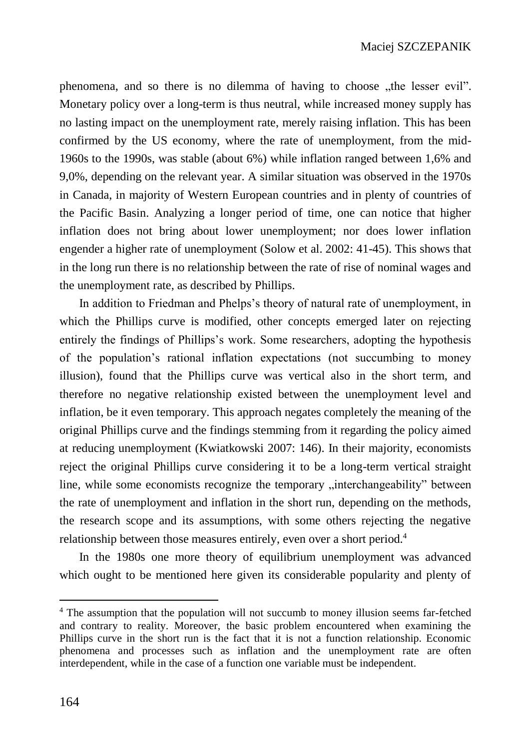phenomena, and so there is no dilemma of having to choose .the lesser evil". Monetary policy over a long-term is thus neutral, while increased money supply has no lasting impact on the unemployment rate, merely raising inflation. This has been confirmed by the US economy, where the rate of unemployment, from the mid-1960s to the 1990s, was stable (about 6%) while inflation ranged between 1,6% and 9,0%, depending on the relevant year. A similar situation was observed in the 1970s in Canada, in majority of Western European countries and in plenty of countries of the Pacific Basin. Analyzing a longer period of time, one can notice that higher inflation does not bring about lower unemployment; nor does lower inflation engender a higher rate of unemployment (Solow et al. 2002: 41-45). This shows that in the long run there is no relationship between the rate of rise of nominal wages and the unemployment rate, as described by Phillips.

In addition to Friedman and Phelps's theory of natural rate of unemployment, in which the Phillips curve is modified, other concepts emerged later on rejecting entirely the findings of Phillips's work. Some researchers, adopting the hypothesis of the population's rational inflation expectations (not succumbing to money illusion), found that the Phillips curve was vertical also in the short term, and therefore no negative relationship existed between the unemployment level and inflation, be it even temporary. This approach negates completely the meaning of the original Phillips curve and the findings stemming from it regarding the policy aimed at reducing unemployment (Kwiatkowski 2007: 146). In their majority, economists reject the original Phillips curve considering it to be a long-term vertical straight line, while some economists recognize the temporary "interchangeability" between the rate of unemployment and inflation in the short run, depending on the methods, the research scope and its assumptions, with some others rejecting the negative relationship between those measures entirely, even over a short period.<sup>4</sup>

In the 1980s one more theory of equilibrium unemployment was advanced which ought to be mentioned here given its considerable popularity and plenty of

<sup>4</sup> The assumption that the population will not succumb to money illusion seems far-fetched and contrary to reality. Moreover, the basic problem encountered when examining the Phillips curve in the short run is the fact that it is not a function relationship. Economic phenomena and processes such as inflation and the unemployment rate are often interdependent, while in the case of a function one variable must be independent.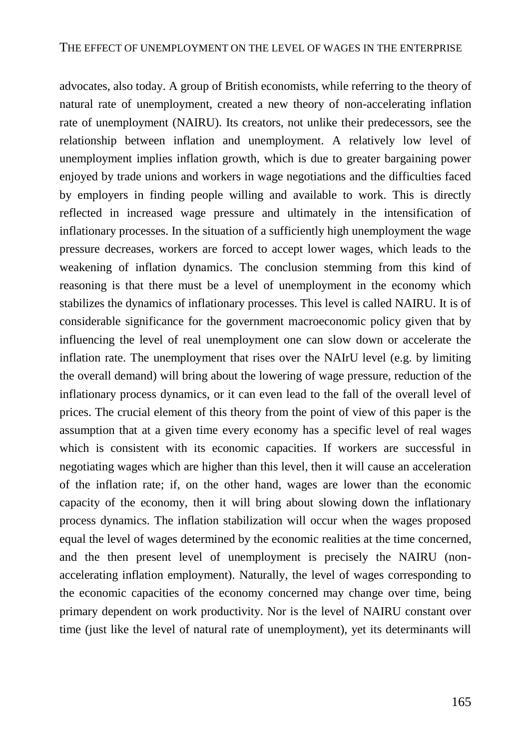advocates, also today. A group of British economists, while referring to the theory of natural rate of unemployment, created a new theory of non-accelerating inflation rate of unemployment (NAIRU). Its creators, not unlike their predecessors, see the relationship between inflation and unemployment. A relatively low level of unemployment implies inflation growth, which is due to greater bargaining power enjoyed by trade unions and workers in wage negotiations and the difficulties faced by employers in finding people willing and available to work. This is directly reflected in increased wage pressure and ultimately in the intensification of inflationary processes. In the situation of a sufficiently high unemployment the wage pressure decreases, workers are forced to accept lower wages, which leads to the weakening of inflation dynamics. The conclusion stemming from this kind of reasoning is that there must be a level of unemployment in the economy which stabilizes the dynamics of inflationary processes. This level is called NAIRU. It is of considerable significance for the government macroeconomic policy given that by influencing the level of real unemployment one can slow down or accelerate the inflation rate. The unemployment that rises over the NAIrU level (e.g. by limiting the overall demand) will bring about the lowering of wage pressure, reduction of the inflationary process dynamics, or it can even lead to the fall of the overall level of prices. The crucial element of this theory from the point of view of this paper is the assumption that at a given time every economy has a specific level of real wages which is consistent with its economic capacities. If workers are successful in negotiating wages which are higher than this level, then it will cause an acceleration of the inflation rate; if, on the other hand, wages are lower than the economic capacity of the economy, then it will bring about slowing down the inflationary process dynamics. The inflation stabilization will occur when the wages proposed equal the level of wages determined by the economic realities at the time concerned, and the then present level of unemployment is precisely the NAIRU (nonaccelerating inflation employment). Naturally, the level of wages corresponding to the economic capacities of the economy concerned may change over time, being primary dependent on work productivity. Nor is the level of NAIRU constant over time (just like the level of natural rate of unemployment), yet its determinants will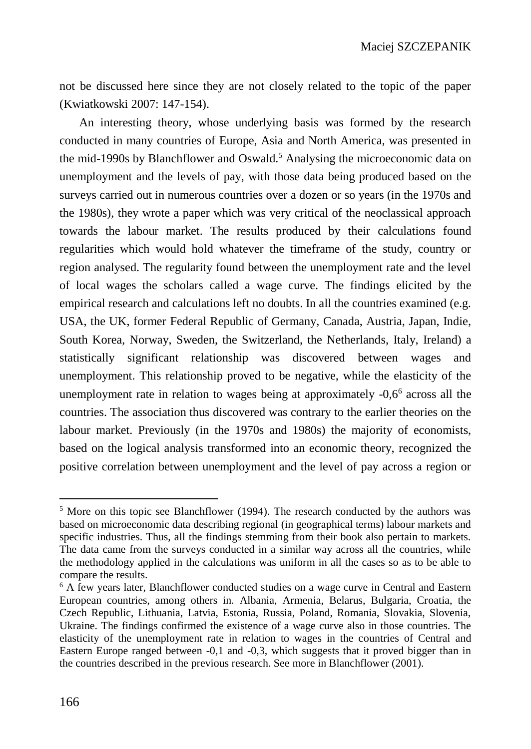not be discussed here since they are not closely related to the topic of the paper (Kwiatkowski 2007: 147-154).

An interesting theory, whose underlying basis was formed by the research conducted in many countries of Europe, Asia and North America, was presented in the mid-1990s by Blanchflower and Oswald.<sup>5</sup> Analysing the microeconomic data on unemployment and the levels of pay, with those data being produced based on the surveys carried out in numerous countries over a dozen or so years (in the 1970s and the 1980s), they wrote a paper which was very critical of the neoclassical approach towards the labour market. The results produced by their calculations found regularities which would hold whatever the timeframe of the study, country or region analysed. The regularity found between the unemployment rate and the level of local wages the scholars called a wage curve. The findings elicited by the empirical research and calculations left no doubts. In all the countries examined (e.g. USA, the UK, former Federal Republic of Germany, Canada, Austria, Japan, Indie, South Korea, Norway, Sweden, the Switzerland, the Netherlands, Italy, Ireland) a statistically significant relationship was discovered between wages and unemployment. This relationship proved to be negative, while the elasticity of the unemployment rate in relation to wages being at approximately -0,6<sup>6</sup> across all the countries. The association thus discovered was contrary to the earlier theories on the labour market. Previously (in the 1970s and 1980s) the majority of economists, based on the logical analysis transformed into an economic theory, recognized the positive correlation between unemployment and the level of pay across a region or

<sup>&</sup>lt;sup>5</sup> More on this topic see Blanchflower (1994). The research conducted by the authors was based on microeconomic data describing regional (in geographical terms) labour markets and specific industries. Thus, all the findings stemming from their book also pertain to markets. The data came from the surveys conducted in a similar way across all the countries, while the methodology applied in the calculations was uniform in all the cases so as to be able to compare the results.

<sup>6</sup> A few years later, Blanchflower conducted studies on a wage curve in Central and Eastern European countries, among others in. Albania, Armenia, Belarus, Bulgaria, Croatia, the Czech Republic, Lithuania, Latvia, Estonia, Russia, Poland, Romania, Slovakia, Slovenia, Ukraine. The findings confirmed the existence of a wage curve also in those countries. The elasticity of the unemployment rate in relation to wages in the countries of Central and Eastern Europe ranged between -0,1 and -0,3, which suggests that it proved bigger than in the countries described in the previous research. See more in Blanchflower (2001).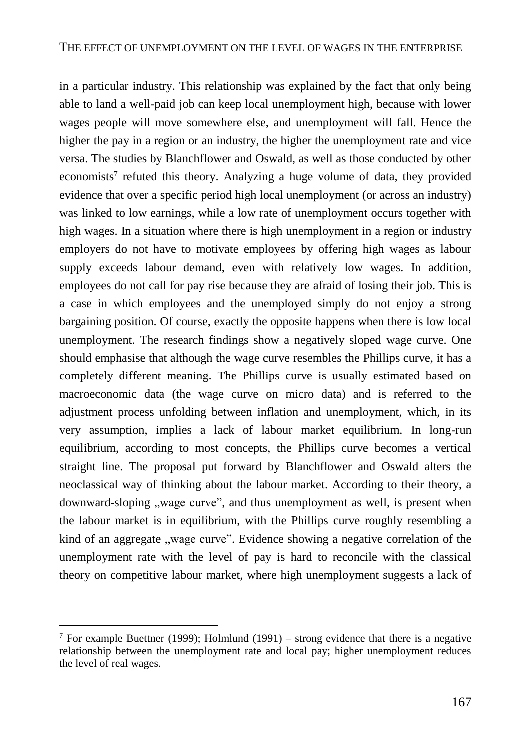in a particular industry. This relationship was explained by the fact that only being able to land a well-paid job can keep local unemployment high, because with lower wages people will move somewhere else, and unemployment will fall. Hence the higher the pay in a region or an industry, the higher the unemployment rate and vice versa. The studies by Blanchflower and Oswald, as well as those conducted by other economists<sup>7</sup> refuted this theory. Analyzing a huge volume of data, they provided evidence that over a specific period high local unemployment (or across an industry) was linked to low earnings, while a low rate of unemployment occurs together with high wages. In a situation where there is high unemployment in a region or industry employers do not have to motivate employees by offering high wages as labour supply exceeds labour demand, even with relatively low wages. In addition, employees do not call for pay rise because they are afraid of losing their job. This is a case in which employees and the unemployed simply do not enjoy a strong bargaining position. Of course, exactly the opposite happens when there is low local unemployment. The research findings show a negatively sloped wage curve. One should emphasise that although the wage curve resembles the Phillips curve, it has a completely different meaning. The Phillips curve is usually estimated based on macroeconomic data (the wage curve on micro data) and is referred to the adjustment process unfolding between inflation and unemployment, which, in its very assumption, implies a lack of labour market equilibrium. In long-run equilibrium, according to most concepts, the Phillips curve becomes a vertical straight line. The proposal put forward by Blanchflower and Oswald alters the neoclassical way of thinking about the labour market. According to their theory, a downward-sloping "wage curve", and thus unemployment as well, is present when the labour market is in equilibrium, with the Phillips curve roughly resembling a kind of an aggregate "wage curve". Evidence showing a negative correlation of the unemployment rate with the level of pay is hard to reconcile with the classical theory on competitive labour market, where high unemployment suggests a lack of

<sup>&</sup>lt;sup>7</sup> For example Buettner (1999); Holmlund (1991) – strong evidence that there is a negative relationship between the unemployment rate and local pay; higher unemployment reduces the level of real wages.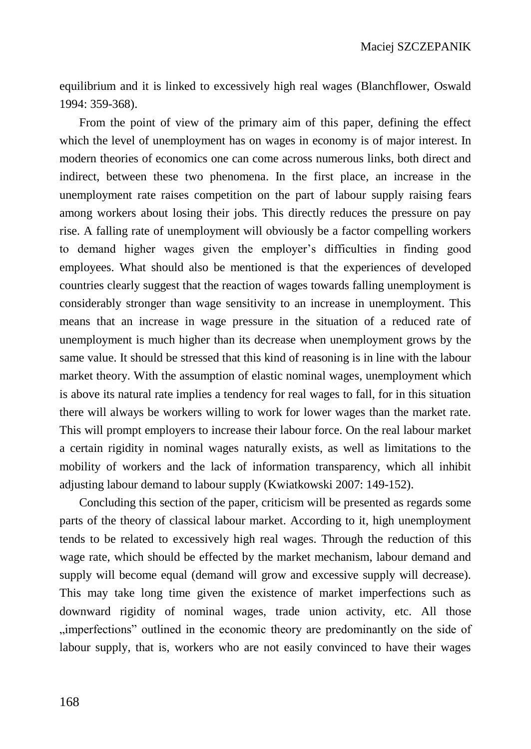equilibrium and it is linked to excessively high real wages (Blanchflower, Oswald 1994: 359-368).

From the point of view of the primary aim of this paper, defining the effect which the level of unemployment has on wages in economy is of major interest. In modern theories of economics one can come across numerous links, both direct and indirect, between these two phenomena. In the first place, an increase in the unemployment rate raises competition on the part of labour supply raising fears among workers about losing their jobs. This directly reduces the pressure on pay rise. A falling rate of unemployment will obviously be a factor compelling workers to demand higher wages given the employer's difficulties in finding good employees. What should also be mentioned is that the experiences of developed countries clearly suggest that the reaction of wages towards falling unemployment is considerably stronger than wage sensitivity to an increase in unemployment. This means that an increase in wage pressure in the situation of a reduced rate of unemployment is much higher than its decrease when unemployment grows by the same value. It should be stressed that this kind of reasoning is in line with the labour market theory. With the assumption of elastic nominal wages, unemployment which is above its natural rate implies a tendency for real wages to fall, for in this situation there will always be workers willing to work for lower wages than the market rate. This will prompt employers to increase their labour force. On the real labour market a certain rigidity in nominal wages naturally exists, as well as limitations to the mobility of workers and the lack of information transparency, which all inhibit adjusting labour demand to labour supply (Kwiatkowski 2007: 149-152).

Concluding this section of the paper, criticism will be presented as regards some parts of the theory of classical labour market. According to it, high unemployment tends to be related to excessively high real wages. Through the reduction of this wage rate, which should be effected by the market mechanism, labour demand and supply will become equal (demand will grow and excessive supply will decrease). This may take long time given the existence of market imperfections such as downward rigidity of nominal wages, trade union activity, etc. All those , imperfections" outlined in the economic theory are predominantly on the side of labour supply, that is, workers who are not easily convinced to have their wages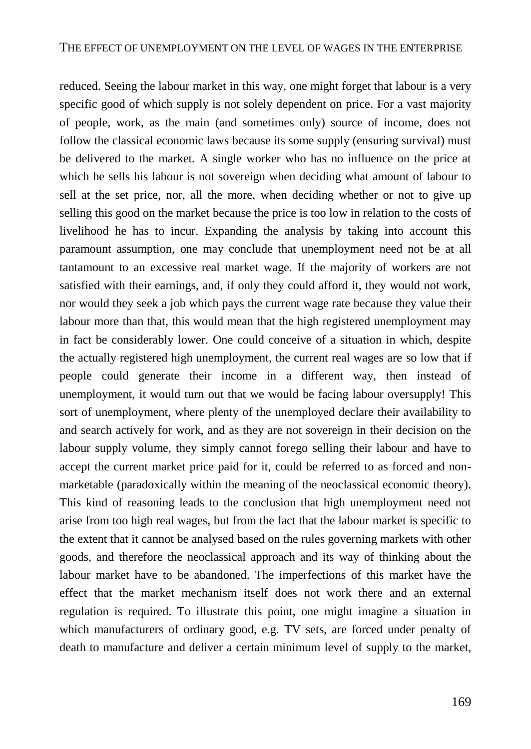reduced. Seeing the labour market in this way, one might forget that labour is a very specific good of which supply is not solely dependent on price. For a vast majority of people, work, as the main (and sometimes only) source of income, does not follow the classical economic laws because its some supply (ensuring survival) must be delivered to the market. A single worker who has no influence on the price at which he sells his labour is not sovereign when deciding what amount of labour to sell at the set price, nor, all the more, when deciding whether or not to give up selling this good on the market because the price is too low in relation to the costs of livelihood he has to incur. Expanding the analysis by taking into account this paramount assumption, one may conclude that unemployment need not be at all tantamount to an excessive real market wage. If the majority of workers are not satisfied with their earnings, and, if only they could afford it, they would not work, nor would they seek a job which pays the current wage rate because they value their labour more than that, this would mean that the high registered unemployment may in fact be considerably lower. One could conceive of a situation in which, despite the actually registered high unemployment, the current real wages are so low that if people could generate their income in a different way, then instead of unemployment, it would turn out that we would be facing labour oversupply! This sort of unemployment, where plenty of the unemployed declare their availability to and search actively for work, and as they are not sovereign in their decision on the labour supply volume, they simply cannot forego selling their labour and have to accept the current market price paid for it, could be referred to as forced and nonmarketable (paradoxically within the meaning of the neoclassical economic theory). This kind of reasoning leads to the conclusion that high unemployment need not arise from too high real wages, but from the fact that the labour market is specific to the extent that it cannot be analysed based on the rules governing markets with other goods, and therefore the neoclassical approach and its way of thinking about the labour market have to be abandoned. The imperfections of this market have the effect that the market mechanism itself does not work there and an external regulation is required. To illustrate this point, one might imagine a situation in which manufacturers of ordinary good, e.g. TV sets, are forced under penalty of death to manufacture and deliver a certain minimum level of supply to the market,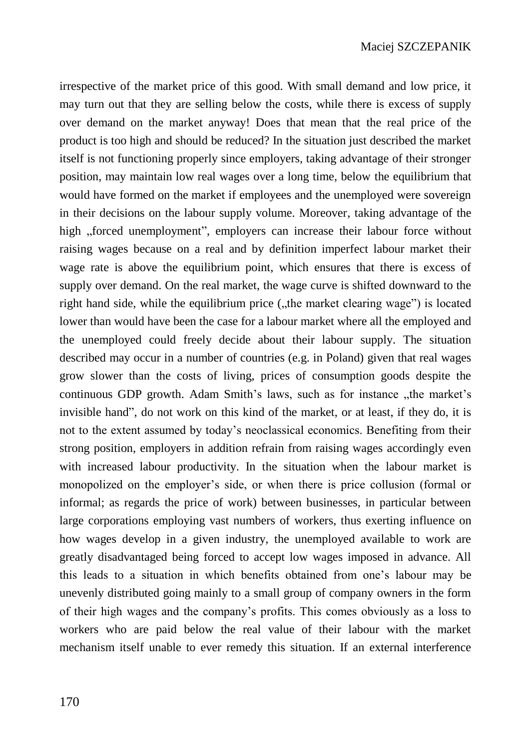irrespective of the market price of this good. With small demand and low price, it may turn out that they are selling below the costs, while there is excess of supply over demand on the market anyway! Does that mean that the real price of the product is too high and should be reduced? In the situation just described the market itself is not functioning properly since employers, taking advantage of their stronger position, may maintain low real wages over a long time, below the equilibrium that would have formed on the market if employees and the unemployed were sovereign in their decisions on the labour supply volume. Moreover, taking advantage of the high "forced unemployment", employers can increase their labour force without raising wages because on a real and by definition imperfect labour market their wage rate is above the equilibrium point, which ensures that there is excess of supply over demand. On the real market, the wage curve is shifted downward to the right hand side, while the equilibrium price  $($ , the market clearing wage") is located lower than would have been the case for a labour market where all the employed and the unemployed could freely decide about their labour supply. The situation described may occur in a number of countries (e.g. in Poland) given that real wages grow slower than the costs of living, prices of consumption goods despite the continuous GDP growth. Adam Smith's laws, such as for instance "the market's invisible hand", do not work on this kind of the market, or at least, if they do, it is not to the extent assumed by today's neoclassical economics. Benefiting from their strong position, employers in addition refrain from raising wages accordingly even with increased labour productivity. In the situation when the labour market is monopolized on the employer's side, or when there is price collusion (formal or informal; as regards the price of work) between businesses, in particular between large corporations employing vast numbers of workers, thus exerting influence on how wages develop in a given industry, the unemployed available to work are greatly disadvantaged being forced to accept low wages imposed in advance. All this leads to a situation in which benefits obtained from one's labour may be unevenly distributed going mainly to a small group of company owners in the form of their high wages and the company's profits. This comes obviously as a loss to workers who are paid below the real value of their labour with the market mechanism itself unable to ever remedy this situation. If an external interference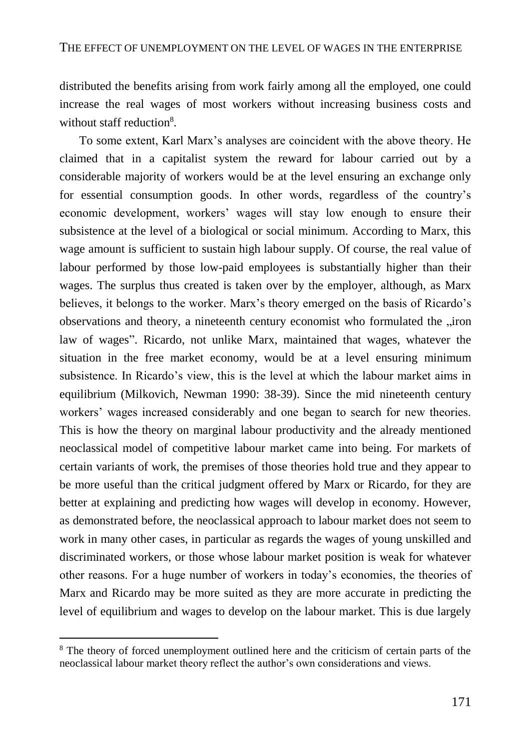distributed the benefits arising from work fairly among all the employed, one could increase the real wages of most workers without increasing business costs and without staff reduction<sup>8</sup>.

To some extent, Karl Marx's analyses are coincident with the above theory. He claimed that in a capitalist system the reward for labour carried out by a considerable majority of workers would be at the level ensuring an exchange only for essential consumption goods. In other words, regardless of the country's economic development, workers' wages will stay low enough to ensure their subsistence at the level of a biological or social minimum. According to Marx, this wage amount is sufficient to sustain high labour supply. Of course, the real value of labour performed by those low-paid employees is substantially higher than their wages. The surplus thus created is taken over by the employer, although, as Marx believes, it belongs to the worker. Marx's theory emerged on the basis of Ricardo's observations and theory, a nineteenth century economist who formulated the "iron law of wages". Ricardo, not unlike Marx, maintained that wages, whatever the situation in the free market economy, would be at a level ensuring minimum subsistence. In Ricardo's view, this is the level at which the labour market aims in equilibrium (Milkovich, Newman 1990: 38-39). Since the mid nineteenth century workers' wages increased considerably and one began to search for new theories. This is how the theory on marginal labour productivity and the already mentioned neoclassical model of competitive labour market came into being. For markets of certain variants of work, the premises of those theories hold true and they appear to be more useful than the critical judgment offered by Marx or Ricardo, for they are better at explaining and predicting how wages will develop in economy. However, as demonstrated before, the neoclassical approach to labour market does not seem to work in many other cases, in particular as regards the wages of young unskilled and discriminated workers, or those whose labour market position is weak for whatever other reasons. For a huge number of workers in today's economies, the theories of Marx and Ricardo may be more suited as they are more accurate in predicting the level of equilibrium and wages to develop on the labour market. This is due largely

<sup>&</sup>lt;sup>8</sup> The theory of forced unemployment outlined here and the criticism of certain parts of the neoclassical labour market theory reflect the author's own considerations and views.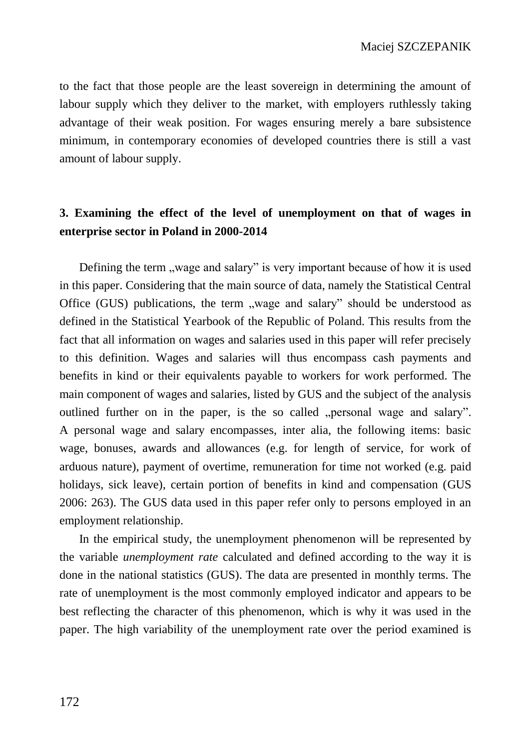to the fact that those people are the least sovereign in determining the amount of labour supply which they deliver to the market, with employers ruthlessly taking advantage of their weak position. For wages ensuring merely a bare subsistence minimum, in contemporary economies of developed countries there is still a vast amount of labour supply.

# **3. Examining the effect of the level of unemployment on that of wages in enterprise sector in Poland in 2000-2014**

Defining the term , wage and salary" is very important because of how it is used in this paper. Considering that the main source of data, namely the Statistical Central Office (GUS) publications, the term "wage and salary" should be understood as defined in the Statistical Yearbook of the Republic of Poland. This results from the fact that all information on wages and salaries used in this paper will refer precisely to this definition. Wages and salaries will thus encompass cash payments and benefits in kind or their equivalents payable to workers for work performed. The main component of wages and salaries, listed by GUS and the subject of the analysis outlined further on in the paper, is the so called "personal wage and salary". A personal wage and salary encompasses, inter alia, the following items: basic wage, bonuses, awards and allowances (e.g. for length of service, for work of arduous nature), payment of overtime, remuneration for time not worked (e.g. paid holidays, sick leave), certain portion of benefits in kind and compensation (GUS 2006: 263). The GUS data used in this paper refer only to persons employed in an employment relationship.

In the empirical study, the unemployment phenomenon will be represented by the variable *unemployment rate* calculated and defined according to the way it is done in the national statistics (GUS). The data are presented in monthly terms. The rate of unemployment is the most commonly employed indicator and appears to be best reflecting the character of this phenomenon, which is why it was used in the paper. The high variability of the unemployment rate over the period examined is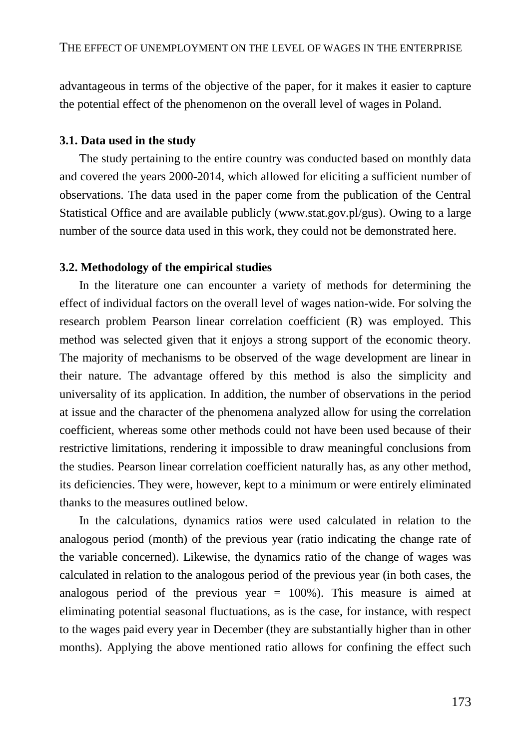advantageous in terms of the objective of the paper, for it makes it easier to capture the potential effect of the phenomenon on the overall level of wages in Poland.

#### **3.1. Data used in the study**

The study pertaining to the entire country was conducted based on monthly data and covered the years 2000-2014, which allowed for eliciting a sufficient number of observations. The data used in the paper come from the publication of the Central Statistical Office and are available publicly (www.stat.gov.pl/gus). Owing to a large number of the source data used in this work, they could not be demonstrated here.

#### **3.2. Methodology of the empirical studies**

In the literature one can encounter a variety of methods for determining the effect of individual factors on the overall level of wages nation-wide. For solving the research problem Pearson linear correlation coefficient (R) was employed. This method was selected given that it enjoys a strong support of the economic theory. The majority of mechanisms to be observed of the wage development are linear in their nature. The advantage offered by this method is also the simplicity and universality of its application. In addition, the number of observations in the period at issue and the character of the phenomena analyzed allow for using the correlation coefficient, whereas some other methods could not have been used because of their restrictive limitations, rendering it impossible to draw meaningful conclusions from the studies. Pearson linear correlation coefficient naturally has, as any other method, its deficiencies. They were, however, kept to a minimum or were entirely eliminated thanks to the measures outlined below.

In the calculations, dynamics ratios were used calculated in relation to the analogous period (month) of the previous year (ratio indicating the change rate of the variable concerned). Likewise, the dynamics ratio of the change of wages was calculated in relation to the analogous period of the previous year (in both cases, the analogous period of the previous year  $= 100\%$ ). This measure is aimed at eliminating potential seasonal fluctuations, as is the case, for instance, with respect to the wages paid every year in December (they are substantially higher than in other months). Applying the above mentioned ratio allows for confining the effect such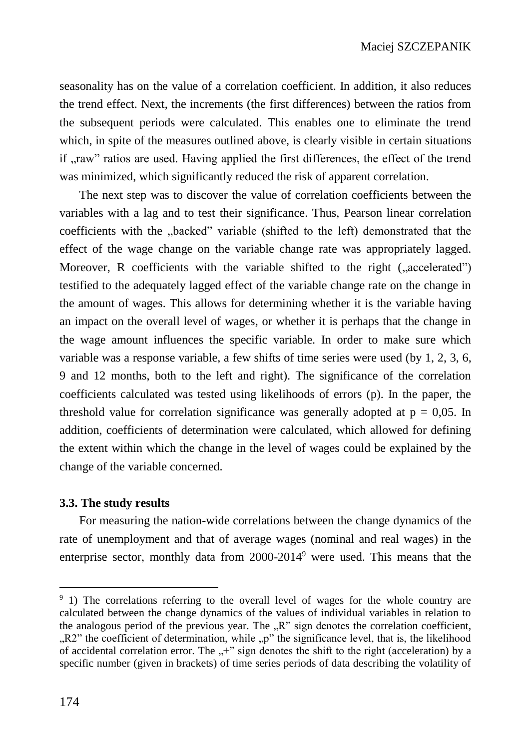seasonality has on the value of a correlation coefficient. In addition, it also reduces the trend effect. Next, the increments (the first differences) between the ratios from the subsequent periods were calculated. This enables one to eliminate the trend which, in spite of the measures outlined above, is clearly visible in certain situations if "raw" ratios are used. Having applied the first differences, the effect of the trend was minimized, which significantly reduced the risk of apparent correlation.

The next step was to discover the value of correlation coefficients between the variables with a lag and to test their significance. Thus, Pearson linear correlation coefficients with the "backed" variable (shifted to the left) demonstrated that the effect of the wage change on the variable change rate was appropriately lagged. Moreover, R coefficients with the variable shifted to the right ("accelerated") testified to the adequately lagged effect of the variable change rate on the change in the amount of wages. This allows for determining whether it is the variable having an impact on the overall level of wages, or whether it is perhaps that the change in the wage amount influences the specific variable. In order to make sure which variable was a response variable, a few shifts of time series were used (by 1, 2, 3, 6, 9 and 12 months, both to the left and right). The significance of the correlation coefficients calculated was tested using likelihoods of errors (p). In the paper, the threshold value for correlation significance was generally adopted at  $p = 0.05$ . In addition, coefficients of determination were calculated, which allowed for defining the extent within which the change in the level of wages could be explained by the change of the variable concerned.

## **3.3. The study results**

For measuring the nation-wide correlations between the change dynamics of the rate of unemployment and that of average wages (nominal and real wages) in the enterprise sector, monthly data from 2000-2014<sup>9</sup> were used. This means that the

<sup>&</sup>lt;sup>9</sup> 1) The correlations referring to the overall level of wages for the whole country are calculated between the change dynamics of the values of individual variables in relation to the analogous period of the previous year. The  $R$ " sign denotes the correlation coefficient, "R2" the coefficient of determination, while "p" the significance level, that is, the likelihood of accidental correlation error. The  $+$ " sign denotes the shift to the right (acceleration) by a specific number (given in brackets) of time series periods of data describing the volatility of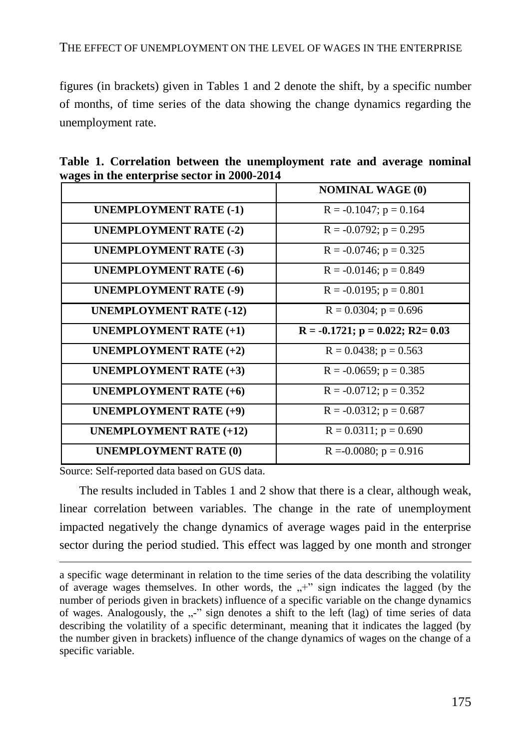figures (in brackets) given in Tables 1 and 2 denote the shift, by a specific number of months, of time series of the data showing the change dynamics regarding the unemployment rate.

| ages in the enterprise sector in 1 |                                           |
|------------------------------------|-------------------------------------------|
|                                    | <b>NOMINAL WAGE (0)</b>                   |
| <b>UNEMPLOYMENT RATE (-1)</b>      | $R = -0.1047$ ; $p = 0.164$               |
| <b>UNEMPLOYMENT RATE (-2)</b>      | $R = -0.0792$ ; $p = 0.295$               |
| <b>UNEMPLOYMENT RATE (-3)</b>      | $R = -0.0746$ ; $p = 0.325$               |
| <b>UNEMPLOYMENT RATE (-6)</b>      | $R = -0.0146$ ; $p = 0.849$               |
| <b>UNEMPLOYMENT RATE (-9)</b>      | $R = -0.0195$ ; $p = 0.801$               |
| <b>UNEMPLOYMENT RATE (-12)</b>     | $R = 0.0304$ ; $p = 0.696$                |
| <b>UNEMPLOYMENT RATE (+1)</b>      | $R = -0.1721$ ; $p = 0.022$ ; $R2 = 0.03$ |
| <b>UNEMPLOYMENT RATE (+2)</b>      | $R = 0.0438$ ; $p = 0.563$                |
| UNEMPLOYMENT RATE $(+3)$           | $R = -0.0659$ ; $p = 0.385$               |
| <b>UNEMPLOYMENT RATE (+6)</b>      | $R = -0.0712$ ; $p = 0.352$               |
| <b>UNEMPLOYMENT RATE (+9)</b>      | $R = -0.0312$ ; $p = 0.687$               |
| <b>UNEMPLOYMENT RATE (+12)</b>     | $R = 0.0311$ ; $p = 0.690$                |
| <b>UNEMPLOYMENT RATE (0)</b>       | $R = 0.0080$ ; $p = 0.916$                |

**Table 1. Correlation between the unemployment rate and average nominal wages in the enterprise sector in 2000-2014**

Source: Self-reported data based on GUS data.

 $\overline{a}$ 

The results included in Tables 1 and 2 show that there is a clear, although weak, linear correlation between variables. The change in the rate of unemployment impacted negatively the change dynamics of average wages paid in the enterprise sector during the period studied. This effect was lagged by one month and stronger

a specific wage determinant in relation to the time series of the data describing the volatility of average wages themselves. In other words, the  $+$ " sign indicates the lagged (by the number of periods given in brackets) influence of a specific variable on the change dynamics of wages. Analogously, the  $,$ -" sign denotes a shift to the left (lag) of time series of data describing the volatility of a specific determinant, meaning that it indicates the lagged (by the number given in brackets) influence of the change dynamics of wages on the change of a specific variable.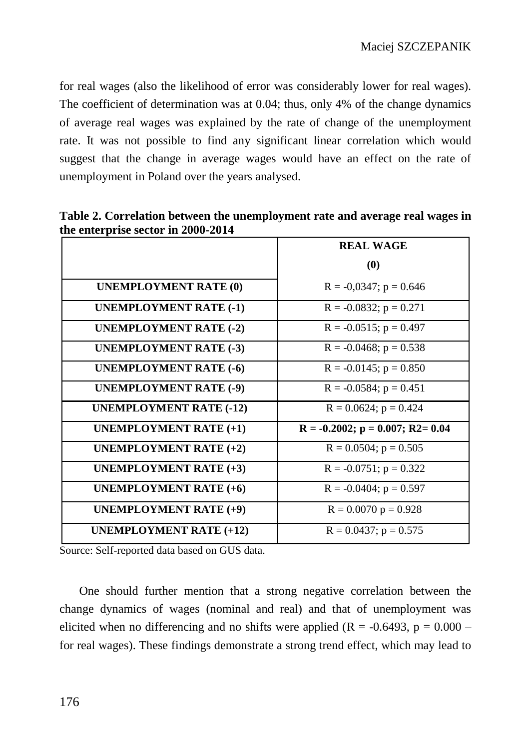for real wages (also the likelihood of error was considerably lower for real wages). The coefficient of determination was at 0.04; thus, only 4% of the change dynamics of average real wages was explained by the rate of change of the unemployment rate. It was not possible to find any significant linear correlation which would suggest that the change in average wages would have an effect on the rate of unemployment in Poland over the years analysed.

**REAL WAGE (0) UNEMPLOYMENT RATE (0)**  $R = -0.0347$ ;  $p = 0.646$ **UNEMPLOYMENT RATE (-1)**  $R = -0.0832$ ;  $p = 0.271$ **UNEMPLOYMENT RATE (-2)**  $R = -0.0515$ ;  $p = 0.497$ **UNEMPLOYMENT RATE (-3)**  $R = -0.0468$ ;  $p = 0.538$ **UNEMPLOYMENT RATE (-6)**  $R = -0.0145$ ;  $p = 0.850$ **UNEMPLOYMENT RATE (-9)**  $R = -0.0584$ ;  $p = 0.451$ **UNEMPLOYMENT RATE (-12)**  $R = 0.0624$ ;  $p = 0.424$ **UNEMPLOYMENT RATE (+1) R = -0.2002; p = 0.007; R2= 0.04 UNEMPLOYMENT RATE** (+2)  $R = 0.0504$ ;  $p = 0.505$ **UNEMPLOYMENT RATE (+3)**  $R = -0.0751$ ;  $p = 0.322$ **UNEMPLOYMENT RATE**  $(+6)$   $R = -0.0404; p = 0.597$ **UNEMPLOYMENT RATE (+9)**  $R = 0.0070 p = 0.928$ **UNEMPLOYMENT RATE (+12)**  $R = 0.0437; p = 0.575$ 

**Table 2. Correlation between the unemployment rate and average real wages in the enterprise sector in 2000-2014**

Source: Self-reported data based on GUS data.

One should further mention that a strong negative correlation between the change dynamics of wages (nominal and real) and that of unemployment was elicited when no differencing and no shifts were applied ( $R = -0.6493$ ,  $p = 0.000$ for real wages). These findings demonstrate a strong trend effect, which may lead to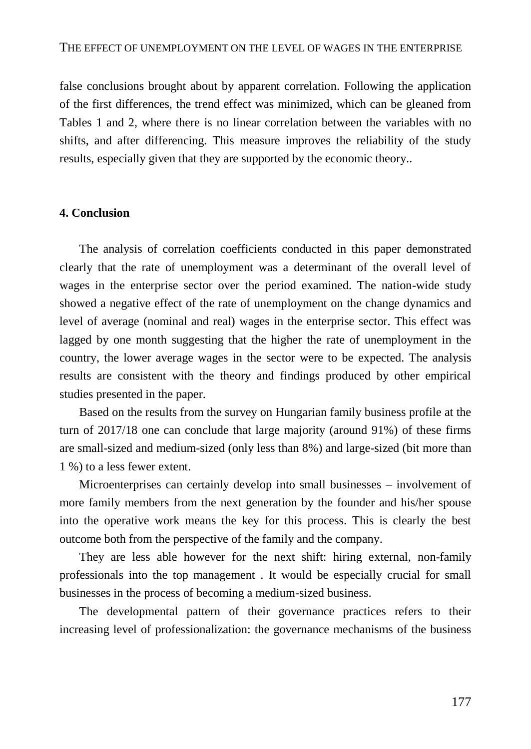false conclusions brought about by apparent correlation. Following the application of the first differences, the trend effect was minimized, which can be gleaned from Tables 1 and 2, where there is no linear correlation between the variables with no shifts, and after differencing. This measure improves the reliability of the study results, especially given that they are supported by the economic theory..

#### **4. Conclusion**

The analysis of correlation coefficients conducted in this paper demonstrated clearly that the rate of unemployment was a determinant of the overall level of wages in the enterprise sector over the period examined. The nation-wide study showed a negative effect of the rate of unemployment on the change dynamics and level of average (nominal and real) wages in the enterprise sector. This effect was lagged by one month suggesting that the higher the rate of unemployment in the country, the lower average wages in the sector were to be expected. The analysis results are consistent with the theory and findings produced by other empirical studies presented in the paper.

Based on the results from the survey on Hungarian family business profile at the turn of 2017/18 one can conclude that large majority (around 91%) of these firms are small-sized and medium-sized (only less than 8%) and large-sized (bit more than 1 %) to a less fewer extent.

Microenterprises can certainly develop into small businesses – involvement of more family members from the next generation by the founder and his/her spouse into the operative work means the key for this process. This is clearly the best outcome both from the perspective of the family and the company.

They are less able however for the next shift: hiring external, non-family professionals into the top management . It would be especially crucial for small businesses in the process of becoming a medium-sized business.

The developmental pattern of their governance practices refers to their increasing level of professionalization: the governance mechanisms of the business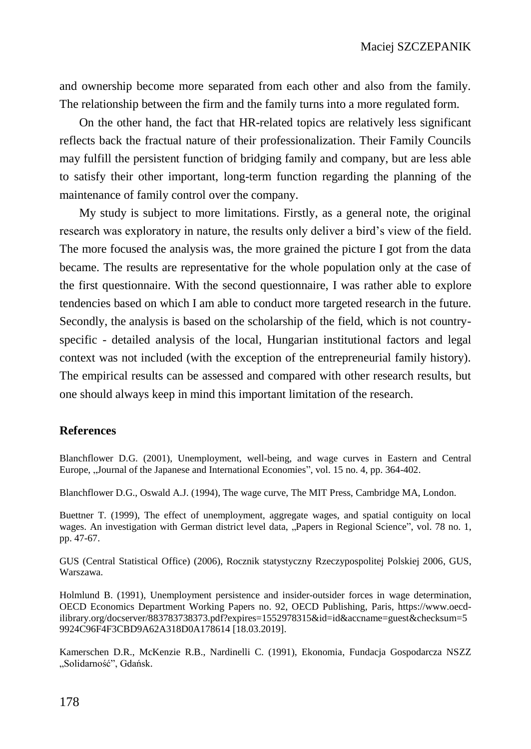and ownership become more separated from each other and also from the family. The relationship between the firm and the family turns into a more regulated form.

On the other hand, the fact that HR-related topics are relatively less significant reflects back the fractual nature of their professionalization. Their Family Councils may fulfill the persistent function of bridging family and company, but are less able to satisfy their other important, long-term function regarding the planning of the maintenance of family control over the company.

My study is subject to more limitations. Firstly, as a general note, the original research was exploratory in nature, the results only deliver a bird's view of the field. The more focused the analysis was, the more grained the picture I got from the data became. The results are representative for the whole population only at the case of the first questionnaire. With the second questionnaire, I was rather able to explore tendencies based on which I am able to conduct more targeted research in the future. Secondly, the analysis is based on the scholarship of the field, which is not countryspecific - detailed analysis of the local, Hungarian institutional factors and legal context was not included (with the exception of the entrepreneurial family history). The empirical results can be assessed and compared with other research results, but one should always keep in mind this important limitation of the research.

## **References**

Blanchflower D.G. (2001), Unemployment, well-being, and wage curves in Eastern and Central Europe, "Journal of the Japanese and International Economies", vol. 15 no. 4, pp. 364-402.

Blanchflower D.G., Oswald A.J. (1994), The wage curve, The MIT Press, Cambridge MA, London.

Buettner T. (1999), The effect of unemployment, aggregate wages, and spatial contiguity on local wages. An investigation with German district level data, "Papers in Regional Science", vol. 78 no. 1, pp. 47-67.

GUS (Central Statistical Office) (2006), Rocznik statystyczny Rzeczypospolitej Polskiej 2006, GUS, Warszawa.

Holmlund B. (1991), Unemployment persistence and insider-outsider forces in wage determination, OECD Economics Department Working Papers no. 92, OECD Publishing, Paris, [https://www.oecd](https://www.oecd-ilibrary.org/docserver/883783738373.pdf?expires=1552978315&id=id&accname=guest&checksum=59924C96F4F3CBD9A62A318D0A178614)[ilibrary.org/docserver/883783738373.pdf?expires=1552978315&id=id&accname=guest&checksum=5](https://www.oecd-ilibrary.org/docserver/883783738373.pdf?expires=1552978315&id=id&accname=guest&checksum=59924C96F4F3CBD9A62A318D0A178614) [9924C96F4F3CBD9A62A318D0A178614](https://www.oecd-ilibrary.org/docserver/883783738373.pdf?expires=1552978315&id=id&accname=guest&checksum=59924C96F4F3CBD9A62A318D0A178614) [18.03.2019].

Kamerschen D.R., McKenzie R.B., Nardinelli C. (1991), Ekonomia, Fundacja Gospodarcza NSZZ "Solidarność", Gdańsk.